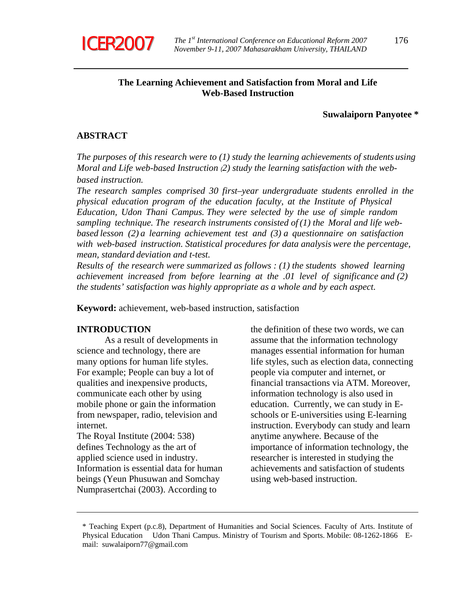

# **The Learning Achievement and Satisfaction from Moral and Life Web-Based Instruction**

#### **Suwalaiporn Panyotee \***

# **ABSTRACT**

*The purposes of this research were to (1) study the learning achievements of students using Moral and Life web-based Instruction (2) study the learning satisfaction with the webbased instruction.* 

*The research samples comprised 30 first–year undergraduate students enrolled in the physical education program of the education faculty, at the Institute of Physical Education, Udon Thani Campus. They were selected by the use of simple random sampling technique. The research instruments consisted of (1) the Moral and life webbased lesson (2) a learning achievement test and (3) a questionnaire on satisfaction with web-based instruction. Statistical procedures for data analysis were the percentage, mean, standard deviation and t-test.* 

*Results of the research were summarized as follows : (1) the students showed learning achievement increased from before learning at the .01 level of significance and (2) the students' satisfaction was highly appropriate as a whole and by each aspect.* 

**Keyword:** achievement, web-based instruction, satisfaction

# **INTRODUCTION**

 As a result of developments in science and technology, there are many options for human life styles. For example; People can buy a lot of qualities and inexpensive products, communicate each other by using mobile phone or gain the information from newspaper, radio, television and internet.

The Royal Institute (2004: 538) defines Technology as the art of applied science used in industry. Information is essential data for human beings (Yeun Phusuwan and Somchay Numprasertchai (2003). According to

the definition of these two words, we can assume that the information technology manages essential information for human life styles, such as election data, connecting people via computer and internet, or financial transactions via ATM. Moreover, information technology is also used in education. Currently, we can study in Eschools or E-universities using E-learning instruction. Everybody can study and learn anytime anywhere. Because of the importance of information technology, the researcher is interested in studying the achievements and satisfaction of students using web-based instruction.

<sup>\*</sup> Teaching Expert (p.c.8), Department of Humanities and Social Sciences. Faculty of Arts. Institute of Physical Education Udon Thani Campus. Ministry of Tourism and Sports. Mobile: 08-1262-1866 Email: suwalaiporn77@gmail.com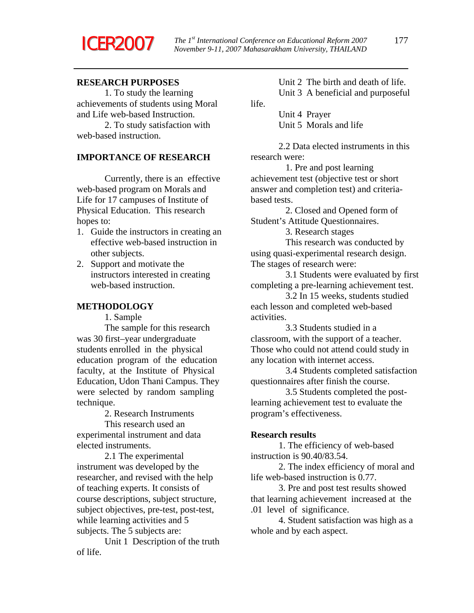

life.

# **RESEARCH PURPOSES**

 1. To study the learning achievements of students using Moral and Life web-based Instruction.

 2. To study satisfaction with web-based instruction.

# **IMPORTANCE OF RESEARCH**

 Currently, there is an effective web-based program on Morals and Life for 17 campuses of Institute of Physical Education. This research hopes to:

- 1. Guide the instructors in creating an effective web-based instruction in other subjects.
- 2. Support and motivate the instructors interested in creating web-based instruction.

#### **METHODOLOGY**

1. Sample

 The sample for this research was 30 first–year undergraduate students enrolled in the physical education program of the education faculty, at the Institute of Physical Education, Udon Thani Campus. They were selected by random sampling technique.

2. Research Instruments

 This research used an experimental instrument and data elected instruments.

 2.1 The experimental instrument was developed by the researcher, and revised with the help of teaching experts. It consists of course descriptions, subject structure, subject objectives, pre-test, post-test, while learning activities and 5 subjects. The 5 subjects are:

 Unit 1 Description of the truth of life.

 Unit 2 The birth and death of life. Unit 3 A beneficial and purposeful

 Unit 4 Prayer Unit 5 Morals and life

 2.2 Data elected instruments in this research were:

 1. Pre and post learning achievement test (objective test or short answer and completion test) and criteriabased tests.

 2. Closed and Opened form of Student's Attitude Questionnaires.

3. Research stages

 This research was conducted by using quasi-experimental research design. The stages of research were:

 3.1 Students were evaluated by first completing a pre-learning achievement test.

 3.2 In 15 weeks, students studied each lesson and completed web-based activities.

 3.3 Students studied in a classroom, with the support of a teacher. Those who could not attend could study in any location with internet access.

 3.4 Students completed satisfaction questionnaires after finish the course.

 3.5 Students completed the postlearning achievement test to evaluate the program's effectiveness.

#### **Research results**

 1. The efficiency of web-based instruction is 90.40/83.54.

 2. The index efficiency of moral and life web-based instruction is 0.77.

 3. Pre and post test results showed that learning achievement increased at the .01 level of significance.

 4. Student satisfaction was high as a whole and by each aspect.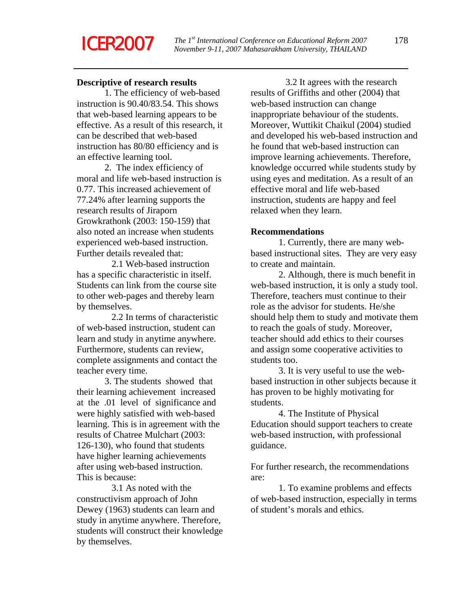# **ICER2007**

# **Descriptive of research results**

 1. The efficiency of web-based instruction is 90.40/83.54. This shows that web-based learning appears to be effective. As a result of this research, it can be described that web-based instruction has 80/80 efficiency and is an effective learning tool.

 2. The index efficiency of moral and life web-based instruction is 0.77. This increased achievement of 77.24% after learning supports the research results of Jiraporn Growkrathonk (2003: 150-159) that also noted an increase when students experienced web-based instruction. Further details revealed that:

 2.1 Web-based instruction has a specific characteristic in itself. Students can link from the course site to other web-pages and thereby learn by themselves.

 2.2 In terms of characteristic of web-based instruction, student can learn and study in anytime anywhere. Furthermore, students can review, complete assignments and contact the teacher every time.

 3. The students showed that their learning achievement increased at the .01 level of significance and were highly satisfied with web-based learning. This is in agreement with the results of Chatree Mulchart (2003: 126-130), who found that students have higher learning achievements after using web-based instruction. This is because:

 3.1 As noted with the constructivism approach of John Dewey (1963) students can learn and study in anytime anywhere. Therefore, students will construct their knowledge by themselves.

 3.2 It agrees with the research results of Griffiths and other (2004) that web-based instruction can change inappropriate behaviour of the students. Moreover, Wuttikit Chaikul (2004) studied and developed his web-based instruction and he found that web-based instruction can improve learning achievements. Therefore, knowledge occurred while students study by using eyes and meditation. As a result of an effective moral and life web-based instruction, students are happy and feel relaxed when they learn.

# **Recommendations**

1. Currently, there are many webbased instructional sites. They are very easy to create and maintain.

 2. Although, there is much benefit in web-based instruction, it is only a study tool. Therefore, teachers must continue to their role as the advisor for students. He/she should help them to study and motivate them to reach the goals of study. Moreover, teacher should add ethics to their courses and assign some cooperative activities to students too.

 3. It is very useful to use the webbased instruction in other subjects because it has proven to be highly motivating for students.

 4. The Institute of Physical Education should support teachers to create web-based instruction, with professional guidance.

For further research, the recommendations are:

 1. To examine problems and effects of web-based instruction, especially in terms of student's morals and ethics.